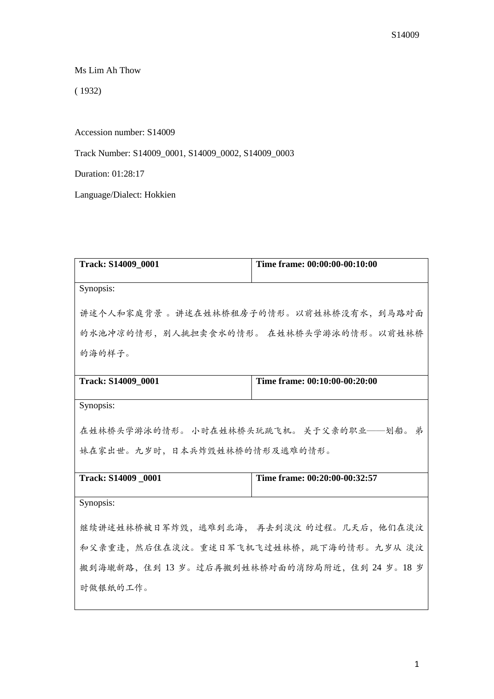Ms Lim Ah Thow

( 1932)

Accession number: S14009

Track Number: S14009\_0001, S14009\_0002, S14009\_0003

Duration: 01:28:17

Language/Dialect: Hokkien

| <b>Track: S14009_0001</b>               | Time frame: 00:00:00-00:10:00             |
|-----------------------------------------|-------------------------------------------|
| Synopsis:                               |                                           |
| 讲述个人和家庭背景 。讲述在姓林桥租房子的情形。以前姓林桥没有水, 到马路对面 |                                           |
| 的水池冲凉的情形, 别人挑担卖食水的情形。 在姓林桥头学游泳的情形。以前姓林桥 |                                           |
| 的海的样子。                                  |                                           |
| Track: S14009_0001                      | Time frame: 00:10:00-00:20:00             |
| Synopsis:                               |                                           |
| 在姓林桥头学游泳的情形。小时在姓林桥头玩跳飞机。关于父亲的职业——划船。弟   |                                           |
| 妹在家出世。九岁时,日本兵炸毁姓林桥的情形及逃难的情形。            |                                           |
| Track: S14009 0001                      | Time frame: 00:20:00-00:32:57             |
| Synopsis:                               |                                           |
|                                         | 继续讲述姓林桥被日军炸毁, 逃难到北海, 再去到淡汶 的过程。几天后, 他们在淡汶 |
| 和父亲重逢,然后住在淡汶。重述日军飞机飞过姓林桥,跳下海的情形。九岁从 淡汶  |                                           |
| 搬到海墘新路,住到13岁。过后再搬到姓林桥对面的消防局附近,住到24岁。18岁 |                                           |
| 时做银纸的工作。                                |                                           |
|                                         |                                           |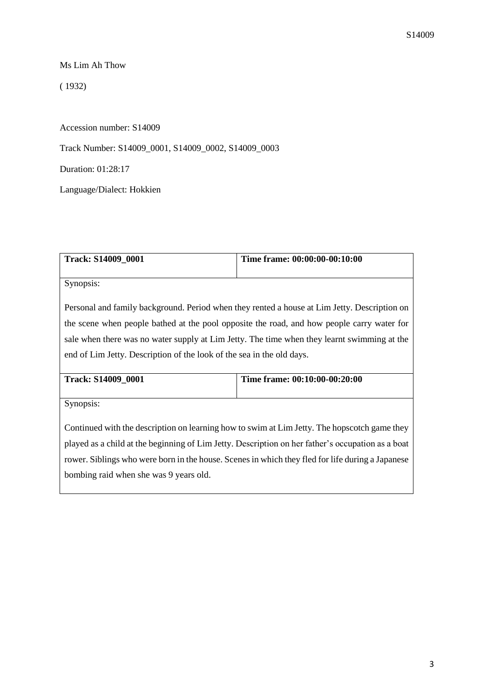Ms Lim Ah Thow

( 1932)

Accession number: S14009

Track Number: S14009\_0001, S14009\_0002, S14009\_0003

Duration: 01:28:17

Language/Dialect: Hokkien

| <b>Track: S14009 0001</b>                                                                    | Time frame: 00:00:00-00:10:00 |
|----------------------------------------------------------------------------------------------|-------------------------------|
|                                                                                              |                               |
| Synopsis:                                                                                    |                               |
|                                                                                              |                               |
| Personal and family background. Period when they rented a house at Lim Jetty. Description on |                               |
| the scene when people bathed at the pool opposite the road, and how people carry water for   |                               |
| sale when there was no water supply at Lim Jetty. The time when they learnt swimming at the  |                               |
| end of Lim Jetty. Description of the look of the sea in the old days.                        |                               |

| <b>Track: S14009 0001</b> | Time frame: 00:10:00-00:20:00 |
|---------------------------|-------------------------------|
|                           |                               |

Synopsis:

Continued with the description on learning how to swim at Lim Jetty. The hopscotch game they played as a child at the beginning of Lim Jetty. Description on her father's occupation as a boat rower. Siblings who were born in the house. Scenes in which they fled for life during a Japanese bombing raid when she was 9 years old.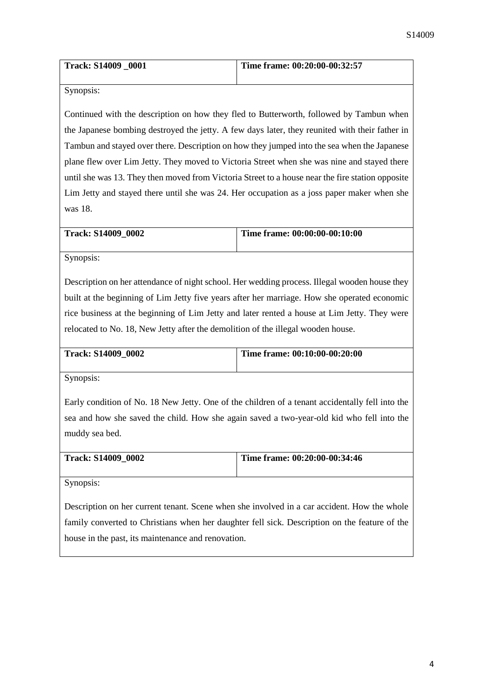| <b>Track: S14009 0001</b> | Time frame: 00:20:00-00:32:57 |
|---------------------------|-------------------------------|
|                           |                               |

Synopsis:

Continued with the description on how they fled to Butterworth, followed by Tambun when the Japanese bombing destroyed the jetty. A few days later, they reunited with their father in Tambun and stayed over there. Description on how they jumped into the sea when the Japanese plane flew over Lim Jetty. They moved to Victoria Street when she was nine and stayed there until she was 13. They then moved from Victoria Street to a house near the fire station opposite Lim Jetty and stayed there until she was 24. Her occupation as a joss paper maker when she was 18.

| <b>Track: S14009 0002</b> | Time frame: 00:00:00-00:10:00 |
|---------------------------|-------------------------------|
|                           |                               |

Synopsis:

Description on her attendance of night school. Her wedding process. Illegal wooden house they built at the beginning of Lim Jetty five years after her marriage. How she operated economic rice business at the beginning of Lim Jetty and later rented a house at Lim Jetty. They were relocated to No. 18, New Jetty after the demolition of the illegal wooden house.

| <b>Track: S14009 0002</b> | Time frame: 00:10:00-00:20:00 |
|---------------------------|-------------------------------|
|                           |                               |

Synopsis:

Early condition of No. 18 New Jetty. One of the children of a tenant accidentally fell into the sea and how she saved the child. How she again saved a two-year-old kid who fell into the muddy sea bed.

| <b>Track: S14009 0002</b> | Time frame: 00:20:00-00:34:46 |
|---------------------------|-------------------------------|
|                           |                               |

Synopsis:

Description on her current tenant. Scene when she involved in a car accident. How the whole family converted to Christians when her daughter fell sick. Description on the feature of the house in the past, its maintenance and renovation.